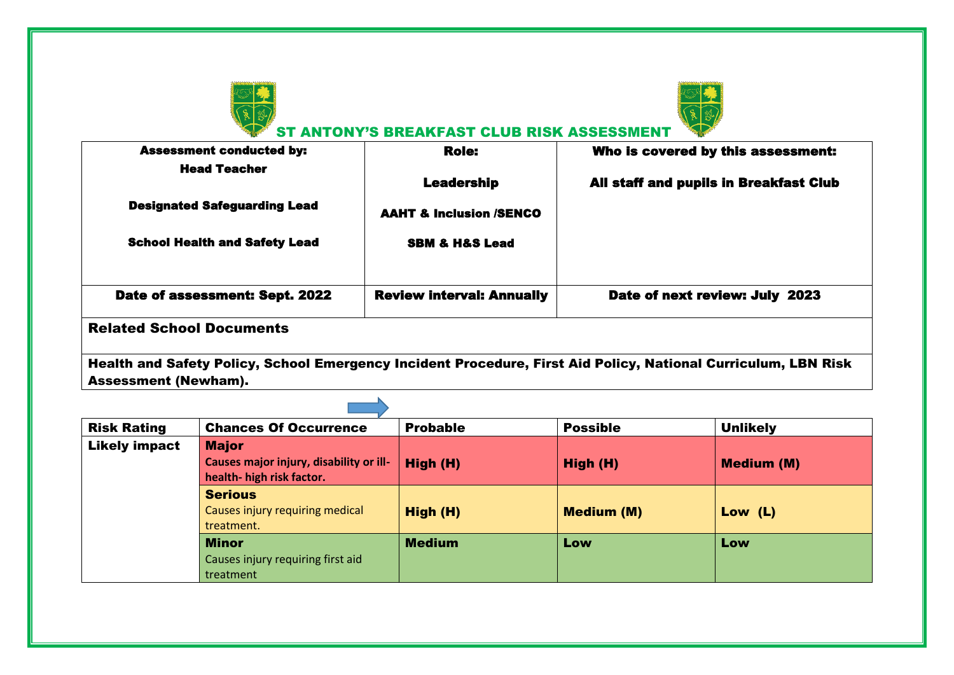



ST ANTONY'S BREAKFAST CLUB RISK ASSESSMENT

| <b>Role:</b>                       | Who is covered by this assessment:     |
|------------------------------------|----------------------------------------|
|                                    |                                        |
|                                    | All staff and pupils in Breakfast Club |
| <b>AAHT &amp; Inclusion /SENCO</b> |                                        |
| <b>SBM &amp; H&amp;S Lead</b>      |                                        |
| <b>Review interval: Annually</b>   | Date of next review: July 2023         |
|                                    | <b>Leadership</b>                      |

Health and Safety Policy, School Emergency Incident Procedure, First Aid Policy, National Curriculum, LBN Risk Assessment (Newham).

| <b>Risk Rating</b>   | <b>Chances Of Occurrence</b>            | <b>Probable</b> | <b>Possible</b>   | <b>Unlikely</b>   |
|----------------------|-----------------------------------------|-----------------|-------------------|-------------------|
| <b>Likely impact</b> | <b>Major</b>                            |                 |                   |                   |
|                      | Causes major injury, disability or ill- | High (H)        | High (H)          | <b>Medium (M)</b> |
|                      | health- high risk factor.               |                 |                   |                   |
|                      | <b>Serious</b>                          |                 |                   |                   |
|                      | Causes injury requiring medical         | High (H)        | <b>Medium (M)</b> | Low $(L)$         |
|                      | treatment.                              |                 |                   |                   |
|                      | <b>Minor</b>                            | <b>Medium</b>   | Low               | Low               |
|                      | Causes injury requiring first aid       |                 |                   |                   |
|                      | treatment                               |                 |                   |                   |